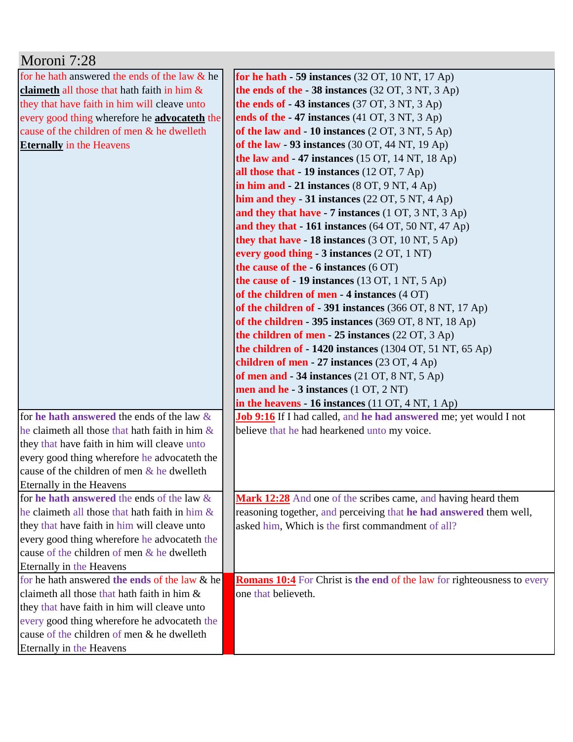| Moroni 7:28                                         |                                                                                |
|-----------------------------------------------------|--------------------------------------------------------------------------------|
| for he hath answered the ends of the law & he       | for he hath $-59$ instances (32 OT, 10 NT, 17 Ap)                              |
| claimeth all those that hath faith in him &         | the ends of the $-38$ instances (32 OT, 3 NT, 3 Ap)                            |
| they that have faith in him will cleave unto        | the ends of $-43$ instances (37 OT, 3 NT, 3 Ap)                                |
| every good thing wherefore he <b>advocateth</b> the | ends of the - 47 instances (41 OT, 3 NT, 3 Ap)                                 |
| cause of the children of men & he dwelleth          | of the law and - 10 instances (2 OT, 3 NT, 5 Ap)                               |
| <b>Eternally</b> in the Heavens                     | of the law - 93 instances $(30 \text{ OT}, 44 \text{ NT}, 19 \text{ Ap})$      |
|                                                     | the law and $-47$ instances (15 OT, 14 NT, 18 Ap)                              |
|                                                     | all those that $-19$ instances (12 OT, 7 Ap)                                   |
|                                                     | in him and $-21$ instances $(8$ OT, $9$ NT, $4$ Ap)                            |
|                                                     | him and they - 31 instances $(22 \text{ OT}, 5 \text{ NT}, 4 \text{ Ap})$      |
|                                                     | and they that have - 7 instances (1 OT, 3 NT, 3 Ap)                            |
|                                                     | and they that - 161 instances (64 OT, 50 NT, 47 Ap)                            |
|                                                     | they that have $-18$ instances (3 OT, 10 NT, 5 Ap)                             |
|                                                     | every good thing $-3$ instances $(2 OT, 1 NT)$                                 |
|                                                     | the cause of the $-6$ instances $(6 \text{ OT})$                               |
|                                                     | the cause of $-19$ instances (13 OT, 1 NT, 5 Ap)                               |
|                                                     | of the children of men - 4 instances (4 OT)                                    |
|                                                     | of the children of $-391$ instances (366 OT, 8 NT, 17 Ap)                      |
|                                                     | of the children - 395 instances (369 OT, 8 NT, 18 Ap)                          |
|                                                     | the children of men - 25 instances (22 OT, 3 Ap)                               |
|                                                     | the children of - 1420 instances (1304 OT, 51 NT, 65 Ap)                       |
|                                                     | children of men - 27 instances $(23 \text{ OT}, 4 \text{ Ap})$                 |
|                                                     | of men and $-34$ instances (21 OT, 8 NT, 5 Ap)                                 |
|                                                     | men and he - $3$ instances $(1 OT, 2 NT)$                                      |
|                                                     | in the heavens - 16 instances $(11 \text{ OT}, 4 \text{ NT}, 1 \text{ Ap})$    |
| for he hath answered the ends of the law $\&$       | <b>Job 9:16</b> If I had called, and he had answered me; yet would I not       |
| he claimeth all those that hath faith in him $\&$   | believe that he had hearkened unto my voice.                                   |
| they that have faith in him will cleave unto        |                                                                                |
| every good thing wherefore he advocate th the       |                                                                                |
| cause of the children of men $\&$ he dwelleth       |                                                                                |
| Eternally in the Heavens                            |                                                                                |
| for he hath answered the ends of the law $\&$       | Mark 12:28 And one of the scribes came, and having heard them                  |
| he claimeth all those that hath faith in him &      | reasoning together, and perceiving that he had answered them well,             |
| they that have faith in him will cleave unto        | asked him, Which is the first commandment of all?                              |
| every good thing wherefore he advocateth the        |                                                                                |
| cause of the children of men & he dwelleth          |                                                                                |
| Eternally in the Heavens                            |                                                                                |
| for he hath answered the ends of the law & he       | <b>Romans 10:4</b> For Christ is the end of the law for righteousness to every |
| claimeth all those that hath faith in him &         | one that believeth.                                                            |
| they that have faith in him will cleave unto        |                                                                                |
| every good thing wherefore he advocateth the        |                                                                                |
| cause of the children of men & he dwelleth          |                                                                                |
| Eternally in the Heavens                            |                                                                                |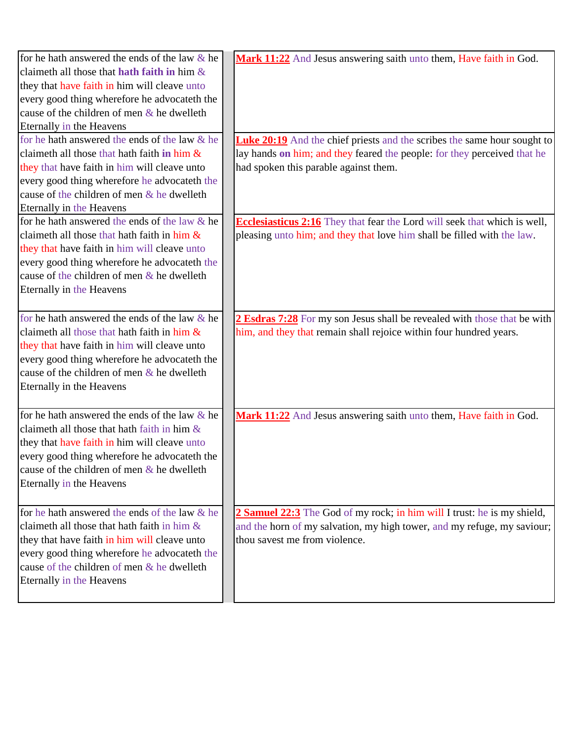| for he hath answered the ends of the law $\&$ he         | Mark 11:22 And Jesus answering saith unto them, Have faith in God.               |
|----------------------------------------------------------|----------------------------------------------------------------------------------|
| claimeth all those that <b>hath faith in</b> him $\&$    |                                                                                  |
| they that have faith in him will cleave unto             |                                                                                  |
| every good thing wherefore he advocateth the             |                                                                                  |
| cause of the children of men $&$ he dwelleth             |                                                                                  |
| Eternally in the Heavens                                 |                                                                                  |
| for he hath answered the ends of the law & he            | <b>Luke 20:19</b> And the chief priests and the scribes the same hour sought to  |
| claimeth all those that hath faith in him &              | lay hands on him; and they feared the people: for they perceived that he         |
| they that have faith in him will cleave unto             | had spoken this parable against them.                                            |
| every good thing wherefore he advocateth the             |                                                                                  |
| cause of the children of men & he dwelleth               |                                                                                  |
| Eternally in the Heavens                                 |                                                                                  |
| for he hath answered the ends of the law & he            | <b>Ecclesiasticus 2:16</b> They that fear the Lord will seek that which is well, |
| claimeth all those that hath faith in $\lim_{x \to 0} x$ | pleasing unto him; and they that love him shall be filled with the law.          |
| they that have faith in him will cleave unto             |                                                                                  |
| every good thing wherefore he advocateth the             |                                                                                  |
| cause of the children of men $&$ he dwelleth             |                                                                                  |
| Eternally in the Heavens                                 |                                                                                  |
|                                                          |                                                                                  |
| for he hath answered the ends of the law $\&$ he         | 2 Esdras 7:28 For my son Jesus shall be revealed with those that be with         |
| claimeth all those that hath faith in him &              | him, and they that remain shall rejoice within four hundred years.               |
| they that have faith in him will cleave unto             |                                                                                  |
| every good thing wherefore he advocateth the             |                                                                                  |
| cause of the children of men $&$ he dwelleth             |                                                                                  |
| Eternally in the Heavens                                 |                                                                                  |
|                                                          |                                                                                  |
| for he hath answered the ends of the law & he            | Mark 11:22 And Jesus answering saith unto them, Have faith in God.               |
| claimeth all those that hath faith in him $\&$           |                                                                                  |
| they that have faith in him will cleave unto             |                                                                                  |
| every good thing wherefore he advocateth the             |                                                                                  |
| cause of the children of men $\&$ he dwelleth            |                                                                                  |
| Eternally in the Heavens                                 |                                                                                  |
|                                                          |                                                                                  |
| for he hath answered the ends of the law & he            | 2 Samuel 22:3 The God of my rock; in him will I trust: he is my shield,          |
| claimeth all those that hath faith in him &              | and the horn of my salvation, my high tower, and my refuge, my saviour;          |
| they that have faith in him will cleave unto             | thou savest me from violence.                                                    |
| every good thing wherefore he advocateth the             |                                                                                  |
| cause of the children of men & he dwelleth               |                                                                                  |
| Eternally in the Heavens                                 |                                                                                  |
|                                                          |                                                                                  |